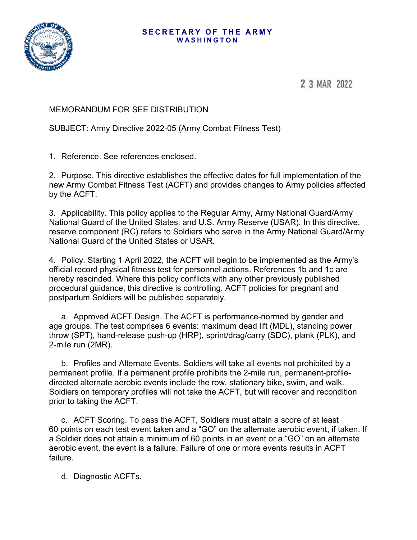### **SECRETARY OF THE ARMY WASHINGTON**



2 3 MAR 2022

# MEMORANDUM FOR SEE DISTRIBUTION

SUBJECT: Army Directive 2022-05 (Army Combat Fitness Test)

1. Reference. See references enclosed.

2. Purpose. This directive establishes the effective dates for full implementation of the new Army Combat Fitness Test (ACFT) and provides changes to Army policies affected by the ACFT.

3. Applicability. This policy applies to the Regular Army, Army National Guard/Army National Guard of the United States, and U.S. Army Reserve (USAR). In this directive, reserve component (RC) refers to Soldiers who serve in the Army National Guard/Army National Guard of the United States or USAR.

4. Policy. Starting 1 April 2022, the ACFT will begin to be implemented as the Army's official record physical fitness test for personnel actions. References 1b and 1c are hereby rescinded. Where this policy conflicts with any other previously published procedural guidance, this directive is controlling. ACFT policies for pregnant and postpartum Soldiers will be published separately.

a. Approved ACFT Design. The ACFT is performance-normed by gender and age groups. The test comprises 6 events: maximum dead lift (MDL), standing power throw (SPT), hand-release push-up (HRP), sprint/drag/carry (SDC), plank (PLK), and 2-mile run (2MR).

b. Profiles and Alternate Events. Soldiers will take all events not prohibited by a permanent profile. If a permanent profile prohibits the 2-mile run, permanent-profiledirected alternate aerobic events include the row, stationary bike, swim, and walk. Soldiers on temporary profiles will not take the ACFT, but will recover and recondition prior to taking the ACFT.

c. ACFT Scoring. To pass the ACFT, Soldiers must attain a score of at least 60 points on each test event taken and a "GO" on the alternate aerobic event, if taken. If a Soldier does not attain a minimum of 60 points in an event or a "GO" on an alternate aerobic event, the event is a failure. Failure of one or more events results in ACFT failure.

d. Diagnostic ACFTs.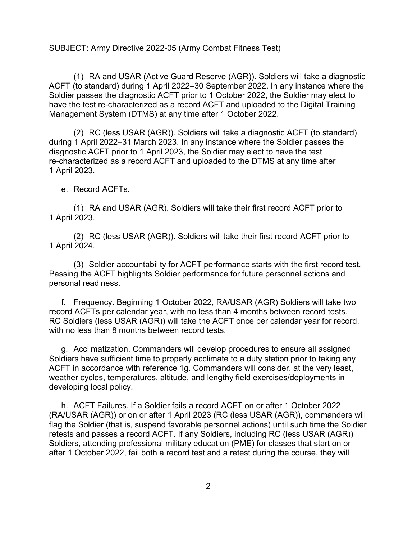(1) RA and USAR (Active Guard Reserve (AGR)). Soldiers will take a diagnostic ACFT (to standard) during 1 April 2022–30 September 2022. In any instance where the Soldier passes the diagnostic ACFT prior to 1 October 2022, the Soldier may elect to have the test re-characterized as a record ACFT and uploaded to the Digital Training Management System (DTMS) at any time after 1 October 2022.

(2) RC (less USAR (AGR)). Soldiers will take a diagnostic ACFT (to standard) during 1 April 2022–31 March 2023. In any instance where the Soldier passes the diagnostic ACFT prior to 1 April 2023, the Soldier may elect to have the test re-characterized as a record ACFT and uploaded to the DTMS at any time after 1 April 2023.

#### e. Record ACFTs.

(1) RA and USAR (AGR). Soldiers will take their first record ACFT prior to 1 April 2023.

(2) RC (less USAR (AGR)). Soldiers will take their first record ACFT prior to 1 April 2024.

(3) Soldier accountability for ACFT performance starts with the first record test. Passing the ACFT highlights Soldier performance for future personnel actions and personal readiness.

f. Frequency. Beginning 1 October 2022, RA/USAR (AGR) Soldiers will take two record ACFTs per calendar year, with no less than 4 months between record tests. RC Soldiers (less USAR (AGR)) will take the ACFT once per calendar year for record, with no less than 8 months between record tests.

g. Acclimatization. Commanders will develop procedures to ensure all assigned Soldiers have sufficient time to properly acclimate to a duty station prior to taking any ACFT in accordance with reference 1g. Commanders will consider, at the very least, weather cycles, temperatures, altitude, and lengthy field exercises/deployments in developing local policy.

h. ACFT Failures. If a Soldier fails a record ACFT on or after 1 October 2022 (RA/USAR (AGR)) or on or after 1 April 2023 (RC (less USAR (AGR)), commanders will flag the Soldier (that is, suspend favorable personnel actions) until such time the Soldier retests and passes a record ACFT. If any Soldiers, including RC (less USAR (AGR)) Soldiers, attending professional military education (PME) for classes that start on or after 1 October 2022, fail both a record test and a retest during the course, they will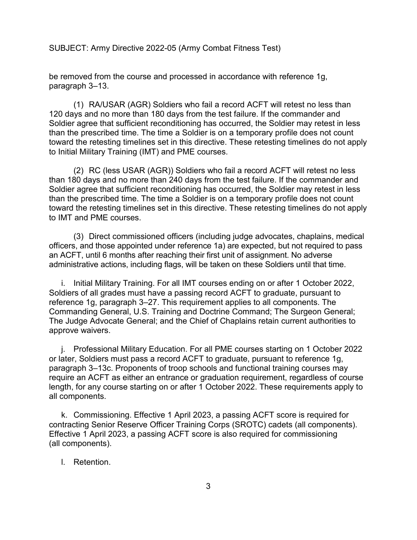be removed from the course and processed in accordance with reference 1g, paragraph 3–13.

(1) RA/USAR (AGR) Soldiers who fail a record ACFT will retest no less than 120 days and no more than 180 days from the test failure. If the commander and Soldier agree that sufficient reconditioning has occurred, the Soldier may retest in less than the prescribed time. The time a Soldier is on a temporary profile does not count toward the retesting timelines set in this directive. These retesting timelines do not apply to Initial Military Training (IMT) and PME courses.

(2) RC (less USAR (AGR)) Soldiers who fail a record ACFT will retest no less than 180 days and no more than 240 days from the test failure. If the commander and Soldier agree that sufficient reconditioning has occurred, the Soldier may retest in less than the prescribed time. The time a Soldier is on a temporary profile does not count toward the retesting timelines set in this directive. These retesting timelines do not apply to IMT and PME courses.

(3) Direct commissioned officers (including judge advocates, chaplains, medical officers, and those appointed under reference 1a) are expected, but not required to pass an ACFT, until 6 months after reaching their first unit of assignment. No adverse administrative actions, including flags, will be taken on these Soldiers until that time.

i. Initial Military Training. For all IMT courses ending on or after 1 October 2022, Soldiers of all grades must have a passing record ACFT to graduate, pursuant to reference 1g, paragraph 3–27. This requirement applies to all components. The Commanding General, U.S. Training and Doctrine Command; The Surgeon General; The Judge Advocate General; and the Chief of Chaplains retain current authorities to approve waivers.

j. Professional Military Education. For all PME courses starting on 1 October 2022 or later, Soldiers must pass a record ACFT to graduate, pursuant to reference 1g, paragraph 3–13c. Proponents of troop schools and functional training courses may require an ACFT as either an entrance or graduation requirement, regardless of course length, for any course starting on or after 1 October 2022. These requirements apply to all components.

k. Commissioning. Effective 1 April 2023, a passing ACFT score is required for contracting Senior Reserve Officer Training Corps (SROTC) cadets (all components). Effective 1 April 2023, a passing ACFT score is also required for commissioning (all components).

### l. Retention.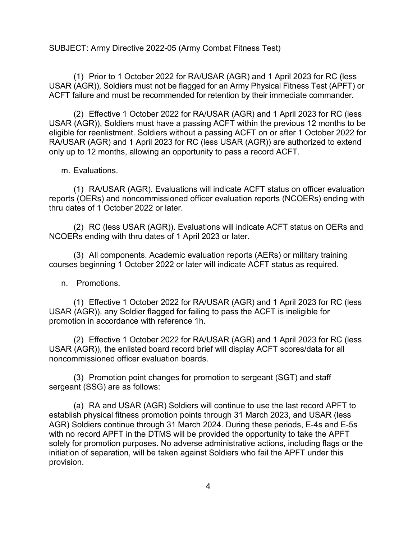(1) Prior to 1 October 2022 for RA/USAR (AGR) and 1 April 2023 for RC (less USAR (AGR)), Soldiers must not be flagged for an Army Physical Fitness Test (APFT) or ACFT failure and must be recommended for retention by their immediate commander.

(2) Effective 1 October 2022 for RA/USAR (AGR) and 1 April 2023 for RC (less USAR (AGR)), Soldiers must have a passing ACFT within the previous 12 months to be eligible for reenlistment. Soldiers without a passing ACFT on or after 1 October 2022 for RA/USAR (AGR) and 1 April 2023 for RC (less USAR (AGR)) are authorized to extend only up to 12 months, allowing an opportunity to pass a record ACFT.

m. Evaluations.

(1) RA/USAR (AGR). Evaluations will indicate ACFT status on officer evaluation reports (OERs) and noncommissioned officer evaluation reports (NCOERs) ending with thru dates of 1 October 2022 or later.

(2) RC (less USAR (AGR)). Evaluations will indicate ACFT status on OERs and NCOERs ending with thru dates of 1 April 2023 or later.

(3) All components. Academic evaluation reports (AERs) or military training courses beginning 1 October 2022 or later will indicate ACFT status as required.

n. Promotions.

(1) Effective 1 October 2022 for RA/USAR (AGR) and 1 April 2023 for RC (less USAR (AGR)), any Soldier flagged for failing to pass the ACFT is ineligible for promotion in accordance with reference 1h.

(2) Effective 1 October 2022 for RA/USAR (AGR) and 1 April 2023 for RC (less USAR (AGR)), the enlisted board record brief will display ACFT scores/data for all noncommissioned officer evaluation boards.

(3) Promotion point changes for promotion to sergeant (SGT) and staff sergeant (SSG) are as follows:

(a) RA and USAR (AGR) Soldiers will continue to use the last record APFT to establish physical fitness promotion points through 31 March 2023, and USAR (less AGR) Soldiers continue through 31 March 2024. During these periods, E-4s and E-5s with no record APFT in the DTMS will be provided the opportunity to take the APFT solely for promotion purposes. No adverse administrative actions, including flags or the initiation of separation, will be taken against Soldiers who fail the APFT under this provision.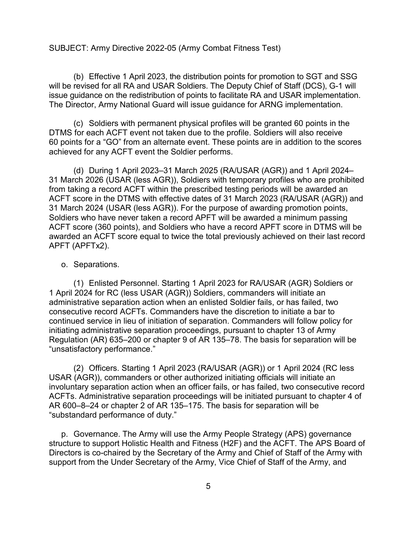(b) Effective 1 April 2023, the distribution points for promotion to SGT and SSG will be revised for all RA and USAR Soldiers. The Deputy Chief of Staff (DCS), G-1 will issue guidance on the redistribution of points to facilitate RA and USAR implementation. The Director, Army National Guard will issue guidance for ARNG implementation.

(c) Soldiers with permanent physical profiles will be granted 60 points in the DTMS for each ACFT event not taken due to the profile. Soldiers will also receive 60 points for a "GO" from an alternate event. These points are in addition to the scores achieved for any ACFT event the Soldier performs.

(d) During 1 April 2023–31 March 2025 (RA/USAR (AGR)) and 1 April 2024– 31 March 2026 (USAR (less AGR)), Soldiers with temporary profiles who are prohibited from taking a record ACFT within the prescribed testing periods will be awarded an ACFT score in the DTMS with effective dates of 31 March 2023 (RA/USAR (AGR)) and 31 March 2024 (USAR (less AGR)). For the purpose of awarding promotion points, Soldiers who have never taken a record APFT will be awarded a minimum passing ACFT score (360 points), and Soldiers who have a record APFT score in DTMS will be awarded an ACFT score equal to twice the total previously achieved on their last record APFT (APFTx2).

### o. Separations.

(1) Enlisted Personnel. Starting 1 April 2023 for RA/USAR (AGR) Soldiers or 1 April 2024 for RC (less USAR (AGR)) Soldiers, commanders will initiate an administrative separation action when an enlisted Soldier fails, or has failed, two consecutive record ACFTs. Commanders have the discretion to initiate a bar to continued service in lieu of initiation of separation. Commanders will follow policy for initiating administrative separation proceedings, pursuant to chapter 13 of Army Regulation (AR) 635–200 or chapter 9 of AR 135–78. The basis for separation will be "unsatisfactory performance."

(2) Officers. Starting 1 April 2023 (RA/USAR (AGR)) or 1 April 2024 (RC less USAR (AGR)), commanders or other authorized initiating officials will initiate an involuntary separation action when an officer fails, or has failed, two consecutive record ACFTs. Administrative separation proceedings will be initiated pursuant to chapter 4 of AR 600–8–24 or chapter 2 of AR 135–175. The basis for separation will be "substandard performance of duty."

p. Governance. The Army will use the Army People Strategy (APS) governance structure to support Holistic Health and Fitness (H2F) and the ACFT. The APS Board of Directors is co-chaired by the Secretary of the Army and Chief of Staff of the Army with support from the Under Secretary of the Army, Vice Chief of Staff of the Army, and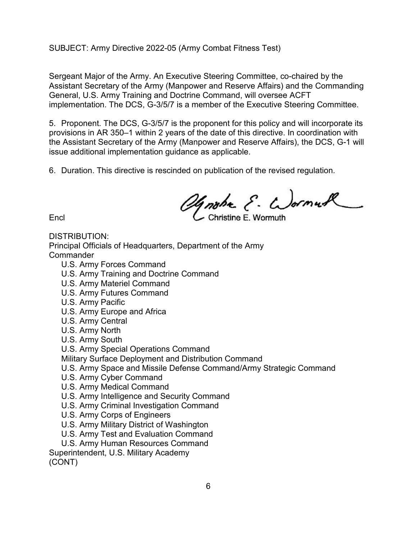Sergeant Major of the Army. An Executive Steering Committee, co-chaired by the Assistant Secretary of the Army (Manpower and Reserve Affairs) and the Commanding General, U.S. Army Training and Doctrine Command, will oversee ACFT implementation. The DCS, G-3/5/7 is a member of the Executive Steering Committee.

5. Proponent. The DCS, G-3/5/7 is the proponent for this policy and will incorporate its provisions in AR 350–1 within 2 years of the date of this directive. In coordination with the Assistant Secretary of the Army (Manpower and Reserve Affairs), the DCS, G-1 will issue additional implementation guidance as applicable.

6. Duration. This directive is rescinded on publication of the revised regulation.

Encl Christine E. Wormuck

DISTRIBUTION:

Principal Officials of Headquarters, Department of the Army **Commander** 

- U.S. Army Forces Command
- U.S. Army Training and Doctrine Command
- U.S. Army Materiel Command
- U.S. Army Futures Command
- U.S. Army Pacific
- U.S. Army Europe and Africa
- U.S. Army Central
- U.S. Army North
- U.S. Army South
- U.S. Army Special Operations Command
- Military Surface Deployment and Distribution Command
- U.S. Army Space and Missile Defense Command/Army Strategic Command
- U.S. Army Cyber Command
- U.S. Army Medical Command
- U.S. Army Intelligence and Security Command
- U.S. Army Criminal Investigation Command
- U.S. Army Corps of Engineers
- U.S. Army Military District of Washington
- U.S. Army Test and Evaluation Command
- U.S. Army Human Resources Command

Superintendent, U.S. Military Academy (CONT)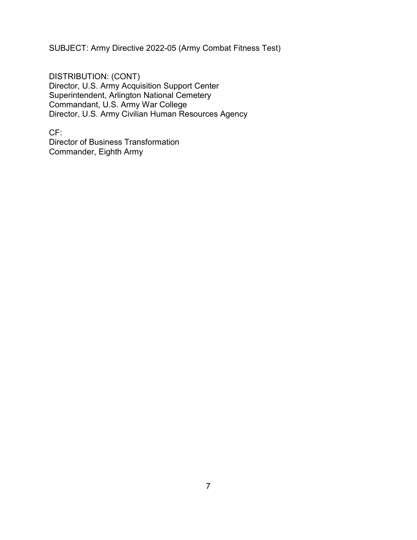DISTRIBUTION: (CONT) Director, U.S. Army Acquisition Support Center Superintendent, Arlington National Cemetery Commandant, U.S. Army War College Director, U.S. Army Civilian Human Resources Agency

CF: Director of Business Transformation Commander, Eighth Army